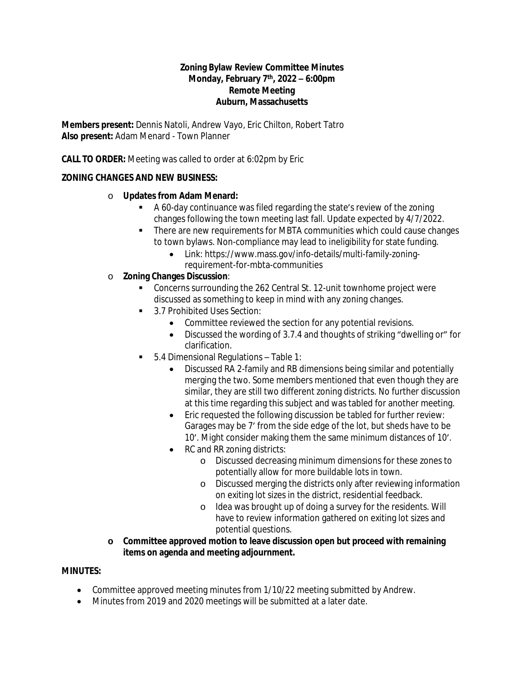#### **Zoning Bylaw Review Committee Minutes Monday, February 7th, 2022 – 6:00pm Remote Meeting Auburn, Massachusetts**

**Members present:** Dennis Natoli, Andrew Vayo, Eric Chilton, Robert Tatro **Also present:** Adam Menard - Town Planner

**CALL TO ORDER:** Meeting was called to order at 6:02pm by Eric

# **ZONING CHANGES AND NEW BUSINESS:**

### o **Updates from Adam Menard:**

- A 60-day continuance was filed regarding the state's review of the zoning changes following the town meeting last fall. Update expected by 4/7/2022.
- There are new requirements for MBTA communities which could cause changes to town bylaws. Non-compliance may lead to ineligibility for state funding.
	- Link: https://www.mass.gov/info-details/multi-family-zoningrequirement-for-mbta-communities
- o **Zoning Changes Discussion**:
	- Concerns surrounding the 262 Central St. 12-unit townhome project were discussed as something to keep in mind with any zoning changes.
	- 3.7 Prohibited Uses Section:
		- Committee reviewed the section for any potential revisions.
		- Discussed the wording of 3.7.4 and thoughts of striking "dwelling or" for clarification.
	- 5.4 Dimensional Regulations Table 1:
		- Discussed RA 2-family and RB dimensions being similar and potentially merging the two. Some members mentioned that even though they are similar, they are still two different zoning districts. No further discussion at this time regarding this subject and was tabled for another meeting.
		- Eric requested the following discussion be tabled for further review: Garages may be 7' from the side edge of the lot, but sheds have to be 10'. Might consider making them the same minimum distances of 10'.
		- RC and RR zoning districts:
			- o Discussed decreasing minimum dimensions for these zones to potentially allow for more buildable lots in town.
			- o Discussed merging the districts only after reviewing information on exiting lot sizes in the district, residential feedback.
			- o Idea was brought up of doing a survey for the residents. Will have to review information gathered on exiting lot sizes and potential questions.
- **o Committee approved motion to leave discussion open but proceed with remaining items on agenda and meeting adjournment.**

### **MINUTES:**

- Committee approved meeting minutes from 1/10/22 meeting submitted by Andrew.
- Minutes from 2019 and 2020 meetings will be submitted at a later date.